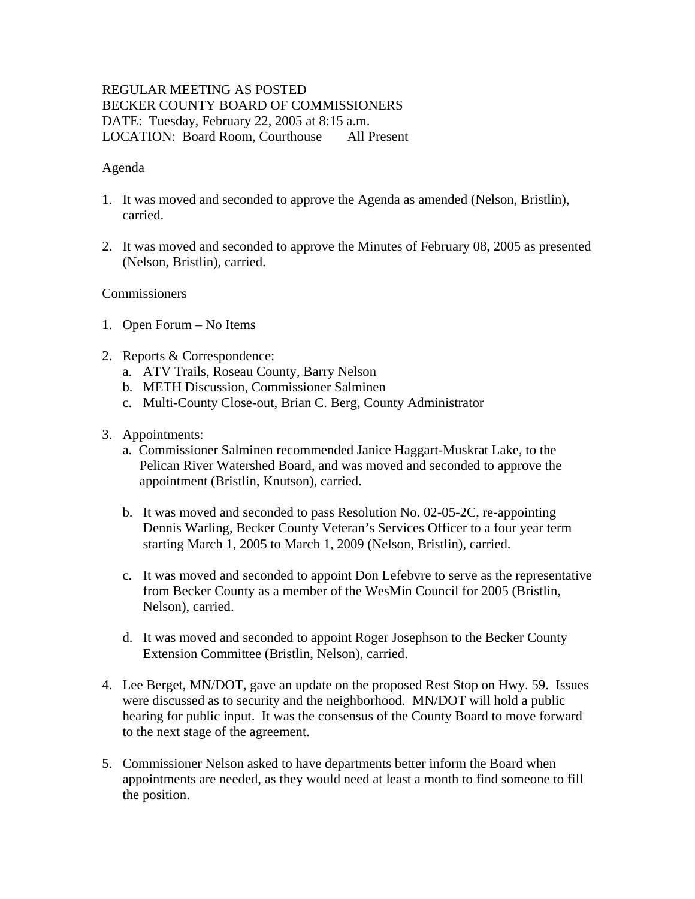# REGULAR MEETING AS POSTED BECKER COUNTY BOARD OF COMMISSIONERS DATE: Tuesday, February 22, 2005 at 8:15 a.m. LOCATION: Board Room, Courthouse All Present

## Agenda

- 1. It was moved and seconded to approve the Agenda as amended (Nelson, Bristlin), carried.
- 2. It was moved and seconded to approve the Minutes of February 08, 2005 as presented (Nelson, Bristlin), carried.

## **Commissioners**

- 1. Open Forum No Items
- 2. Reports & Correspondence:
	- a. ATV Trails, Roseau County, Barry Nelson
	- b. METH Discussion, Commissioner Salminen
	- c. Multi-County Close-out, Brian C. Berg, County Administrator
- 3. Appointments:
	- a. Commissioner Salminen recommended Janice Haggart-Muskrat Lake, to the Pelican River Watershed Board, and was moved and seconded to approve the appointment (Bristlin, Knutson), carried.
	- b. It was moved and seconded to pass Resolution No. 02-05-2C, re-appointing Dennis Warling, Becker County Veteran's Services Officer to a four year term starting March 1, 2005 to March 1, 2009 (Nelson, Bristlin), carried.
	- c. It was moved and seconded to appoint Don Lefebvre to serve as the representative from Becker County as a member of the WesMin Council for 2005 (Bristlin, Nelson), carried.
	- d. It was moved and seconded to appoint Roger Josephson to the Becker County Extension Committee (Bristlin, Nelson), carried.
- 4. Lee Berget, MN/DOT, gave an update on the proposed Rest Stop on Hwy. 59. Issues were discussed as to security and the neighborhood. MN/DOT will hold a public hearing for public input. It was the consensus of the County Board to move forward to the next stage of the agreement.
- 5. Commissioner Nelson asked to have departments better inform the Board when appointments are needed, as they would need at least a month to find someone to fill the position.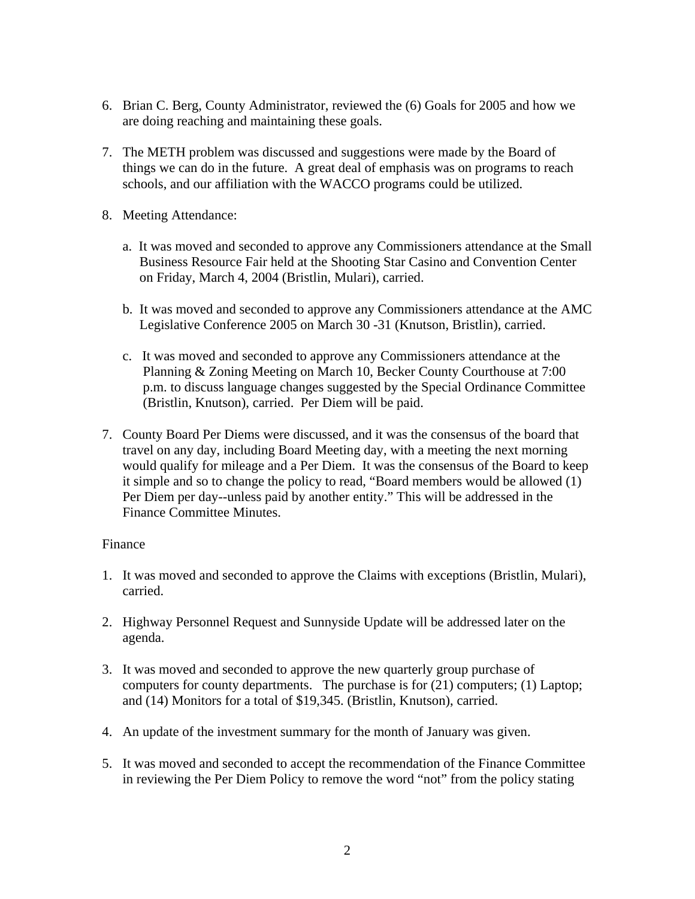- 6. Brian C. Berg, County Administrator, reviewed the (6) Goals for 2005 and how we are doing reaching and maintaining these goals.
- 7. The METH problem was discussed and suggestions were made by the Board of things we can do in the future. A great deal of emphasis was on programs to reach schools, and our affiliation with the WACCO programs could be utilized.
- 8. Meeting Attendance:
	- a. It was moved and seconded to approve any Commissioners attendance at the Small Business Resource Fair held at the Shooting Star Casino and Convention Center on Friday, March 4, 2004 (Bristlin, Mulari), carried.
	- b. It was moved and seconded to approve any Commissioners attendance at the AMC Legislative Conference 2005 on March 30 -31 (Knutson, Bristlin), carried.
	- c. It was moved and seconded to approve any Commissioners attendance at the Planning & Zoning Meeting on March 10, Becker County Courthouse at 7:00 p.m. to discuss language changes suggested by the Special Ordinance Committee (Bristlin, Knutson), carried. Per Diem will be paid.
- 7. County Board Per Diems were discussed, and it was the consensus of the board that travel on any day, including Board Meeting day, with a meeting the next morning would qualify for mileage and a Per Diem. It was the consensus of the Board to keep it simple and so to change the policy to read, "Board members would be allowed (1) Per Diem per day--unless paid by another entity." This will be addressed in the Finance Committee Minutes.

#### Finance

- 1. It was moved and seconded to approve the Claims with exceptions (Bristlin, Mulari), carried.
- 2. Highway Personnel Request and Sunnyside Update will be addressed later on the agenda.
- 3. It was moved and seconded to approve the new quarterly group purchase of computers for county departments. The purchase is for (21) computers; (1) Laptop; and (14) Monitors for a total of \$19,345. (Bristlin, Knutson), carried.
- 4. An update of the investment summary for the month of January was given.
- 5. It was moved and seconded to accept the recommendation of the Finance Committee in reviewing the Per Diem Policy to remove the word "not" from the policy stating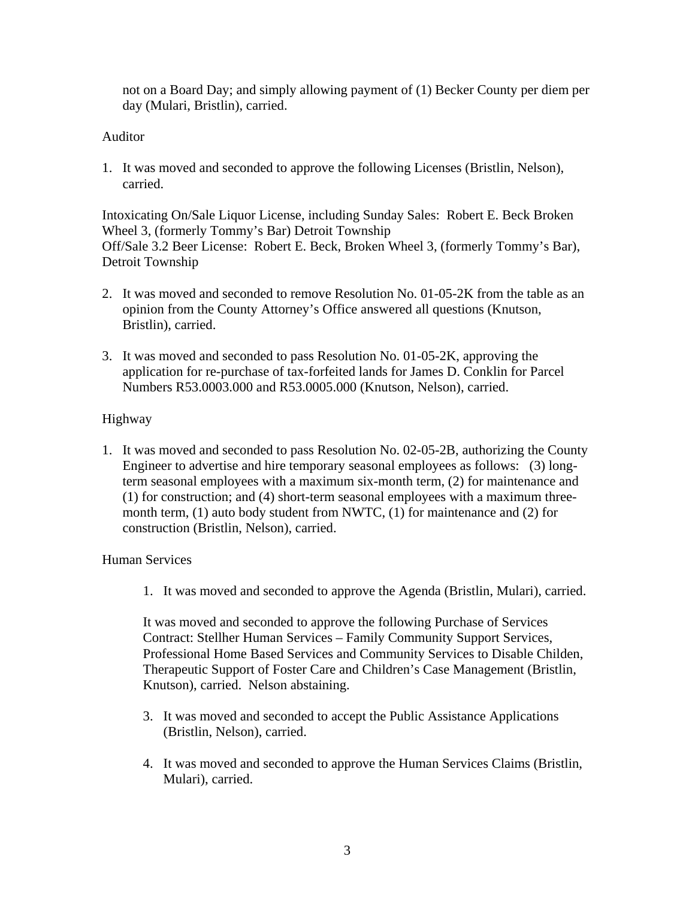not on a Board Day; and simply allowing payment of (1) Becker County per diem per day (Mulari, Bristlin), carried.

## Auditor

1. It was moved and seconded to approve the following Licenses (Bristlin, Nelson), carried.

Intoxicating On/Sale Liquor License, including Sunday Sales: Robert E. Beck Broken Wheel 3, (formerly Tommy's Bar) Detroit Township Off/Sale 3.2 Beer License: Robert E. Beck, Broken Wheel 3, (formerly Tommy's Bar), Detroit Township

- 2. It was moved and seconded to remove Resolution No. 01-05-2K from the table as an opinion from the County Attorney's Office answered all questions (Knutson, Bristlin), carried.
- 3. It was moved and seconded to pass Resolution No. 01-05-2K, approving the application for re-purchase of tax-forfeited lands for James D. Conklin for Parcel Numbers R53.0003.000 and R53.0005.000 (Knutson, Nelson), carried.

# Highway

1. It was moved and seconded to pass Resolution No. 02-05-2B, authorizing the County Engineer to advertise and hire temporary seasonal employees as follows: (3) longterm seasonal employees with a maximum six-month term, (2) for maintenance and (1) for construction; and (4) short-term seasonal employees with a maximum threemonth term, (1) auto body student from NWTC, (1) for maintenance and (2) for construction (Bristlin, Nelson), carried.

#### Human Services

1. It was moved and seconded to approve the Agenda (Bristlin, Mulari), carried.

It was moved and seconded to approve the following Purchase of Services Contract: Stellher Human Services – Family Community Support Services, Professional Home Based Services and Community Services to Disable Childen, Therapeutic Support of Foster Care and Children's Case Management (Bristlin, Knutson), carried. Nelson abstaining.

- 3. It was moved and seconded to accept the Public Assistance Applications (Bristlin, Nelson), carried.
- 4. It was moved and seconded to approve the Human Services Claims (Bristlin, Mulari), carried.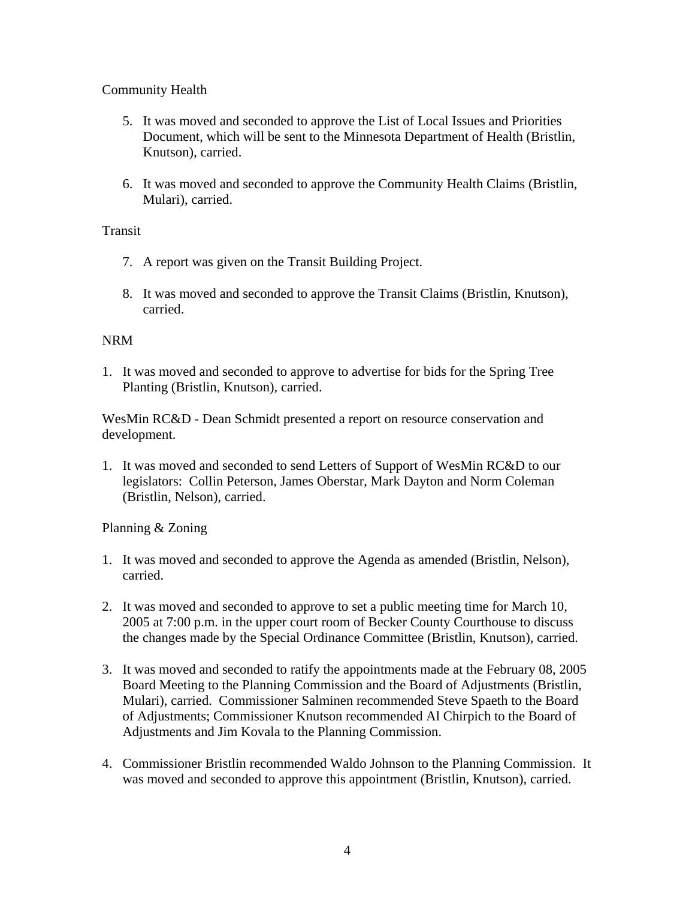# Community Health

- 5. It was moved and seconded to approve the List of Local Issues and Priorities Document, which will be sent to the Minnesota Department of Health (Bristlin, Knutson), carried.
- 6. It was moved and seconded to approve the Community Health Claims (Bristlin, Mulari), carried.

## Transit

- 7. A report was given on the Transit Building Project.
- 8. It was moved and seconded to approve the Transit Claims (Bristlin, Knutson), carried.

## NRM

1. It was moved and seconded to approve to advertise for bids for the Spring Tree Planting (Bristlin, Knutson), carried.

WesMin RC&D - Dean Schmidt presented a report on resource conservation and development.

1. It was moved and seconded to send Letters of Support of WesMin RC&D to our legislators: Collin Peterson, James Oberstar, Mark Dayton and Norm Coleman (Bristlin, Nelson), carried.

# Planning & Zoning

- 1. It was moved and seconded to approve the Agenda as amended (Bristlin, Nelson), carried.
- 2. It was moved and seconded to approve to set a public meeting time for March 10, 2005 at 7:00 p.m. in the upper court room of Becker County Courthouse to discuss the changes made by the Special Ordinance Committee (Bristlin, Knutson), carried.
- 3. It was moved and seconded to ratify the appointments made at the February 08, 2005 Board Meeting to the Planning Commission and the Board of Adjustments (Bristlin, Mulari), carried. Commissioner Salminen recommended Steve Spaeth to the Board of Adjustments; Commissioner Knutson recommended Al Chirpich to the Board of Adjustments and Jim Kovala to the Planning Commission.
- 4. Commissioner Bristlin recommended Waldo Johnson to the Planning Commission. It was moved and seconded to approve this appointment (Bristlin, Knutson), carried.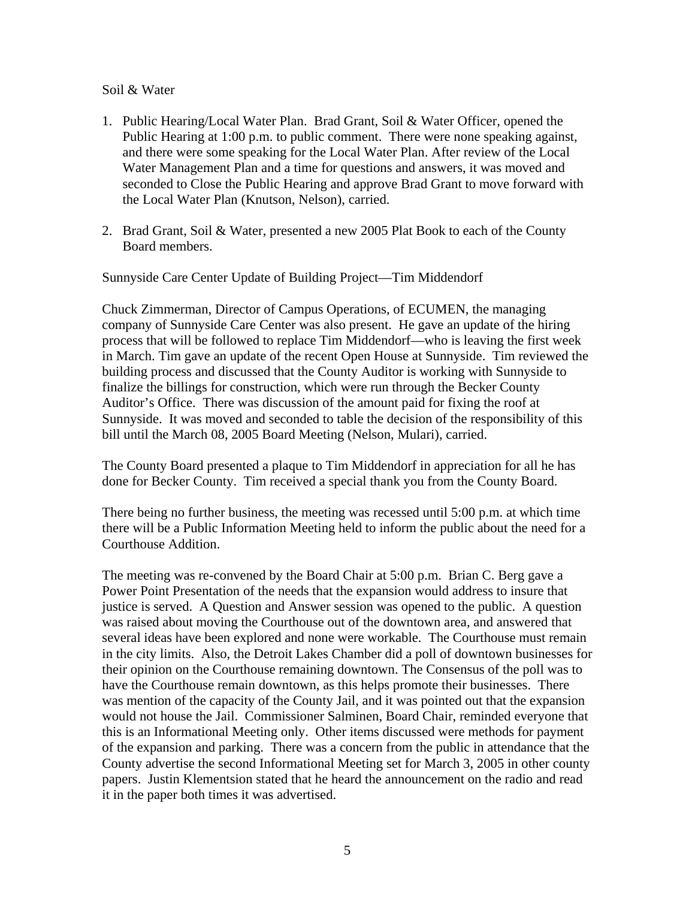#### Soil & Water

- 1. Public Hearing/Local Water Plan. Brad Grant, Soil & Water Officer, opened the Public Hearing at 1:00 p.m. to public comment. There were none speaking against, and there were some speaking for the Local Water Plan. After review of the Local Water Management Plan and a time for questions and answers, it was moved and seconded to Close the Public Hearing and approve Brad Grant to move forward with the Local Water Plan (Knutson, Nelson), carried.
- 2. Brad Grant, Soil & Water, presented a new 2005 Plat Book to each of the County Board members.

Sunnyside Care Center Update of Building Project—Tim Middendorf

Chuck Zimmerman, Director of Campus Operations, of ECUMEN, the managing company of Sunnyside Care Center was also present. He gave an update of the hiring process that will be followed to replace Tim Middendorf—who is leaving the first week in March. Tim gave an update of the recent Open House at Sunnyside. Tim reviewed the building process and discussed that the County Auditor is working with Sunnyside to finalize the billings for construction, which were run through the Becker County Auditor's Office. There was discussion of the amount paid for fixing the roof at Sunnyside. It was moved and seconded to table the decision of the responsibility of this bill until the March 08, 2005 Board Meeting (Nelson, Mulari), carried.

The County Board presented a plaque to Tim Middendorf in appreciation for all he has done for Becker County. Tim received a special thank you from the County Board.

There being no further business, the meeting was recessed until 5:00 p.m. at which time there will be a Public Information Meeting held to inform the public about the need for a Courthouse Addition.

The meeting was re-convened by the Board Chair at 5:00 p.m. Brian C. Berg gave a Power Point Presentation of the needs that the expansion would address to insure that justice is served. A Question and Answer session was opened to the public. A question was raised about moving the Courthouse out of the downtown area, and answered that several ideas have been explored and none were workable. The Courthouse must remain in the city limits. Also, the Detroit Lakes Chamber did a poll of downtown businesses for their opinion on the Courthouse remaining downtown. The Consensus of the poll was to have the Courthouse remain downtown, as this helps promote their businesses. There was mention of the capacity of the County Jail, and it was pointed out that the expansion would not house the Jail. Commissioner Salminen, Board Chair, reminded everyone that this is an Informational Meeting only. Other items discussed were methods for payment of the expansion and parking. There was a concern from the public in attendance that the County advertise the second Informational Meeting set for March 3, 2005 in other county papers. Justin Klementsion stated that he heard the announcement on the radio and read it in the paper both times it was advertised.